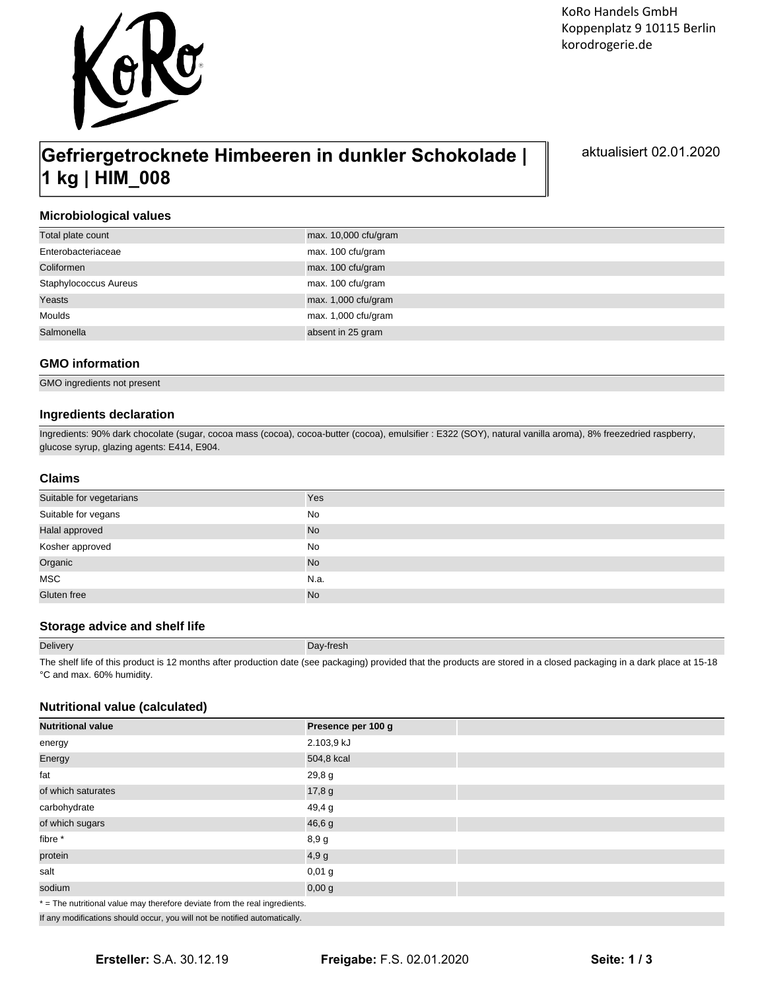

# **Gefriergetrocknete Himbeeren in dunkler Schokolade | 1 kg | HIM\_008**

aktualisiert 02.01.2020

# **Microbiological values**

| Total plate count     | $max. 10,000$ cfu/gram |
|-----------------------|------------------------|
| Enterobacteriaceae    | max. 100 cfu/gram      |
| Coliformen            | max. 100 cfu/gram      |
| Staphylococcus Aureus | max. 100 cfu/gram      |
| Yeasts                | max. 1,000 cfu/gram    |
| Moulds                | max. 1,000 cfu/gram    |
| Salmonella            | absent in 25 gram      |

# **GMO information**

GMO ingredients not present

# **Ingredients declaration**

Ingredients: 90% dark chocolate (sugar, cocoa mass (cocoa), cocoa-butter (cocoa), emulsifier : E322 (SOY), natural vanilla aroma), 8% freezedried raspberry, glucose syrup, glazing agents: E414, E904.

## **Claims**

| Suitable for vegetarians | Yes       |
|--------------------------|-----------|
| Suitable for vegans      | No        |
| Halal approved           | No        |
| Kosher approved          | No        |
| Organic                  | <b>No</b> |
| MSC                      | N.a.      |
| Gluten free              | <b>No</b> |

# **Storage advice and shelf life**

| <b>Delivery</b> | Day-fresh                                                                                                                                                              |
|-----------------|------------------------------------------------------------------------------------------------------------------------------------------------------------------------|
|                 | The chall life of this product is 10 menths ofter production date (eas posicion) provided that the producto are stared in a gloopd posicoling in a dark place at 15,10 |

The shelf life of this product is 12 months after production date (see packaging) provided that the products are stored in a closed packaging in a dark place at 15-18 °C and max. 60% humidity.

# **Nutritional value (calculated)**

| <b>Nutritional value</b>                                                   | Presence per 100 g |  |
|----------------------------------------------------------------------------|--------------------|--|
| energy                                                                     | 2.103,9 kJ         |  |
| Energy                                                                     | 504,8 kcal         |  |
| fat                                                                        | 29,8g              |  |
| of which saturates                                                         | 17,8 g             |  |
| carbohydrate                                                               | 49,4 g             |  |
| of which sugars                                                            | 46,6 g             |  |
| fibre *                                                                    | 8,9g               |  |
| protein                                                                    | 4,9g               |  |
| salt                                                                       | $0,01$ g           |  |
| sodium                                                                     | 0,00 g             |  |
| * = The nutritional value may therefore deviate from the real ingredients. |                    |  |

If any modifications should occur, you will not be notified automatically.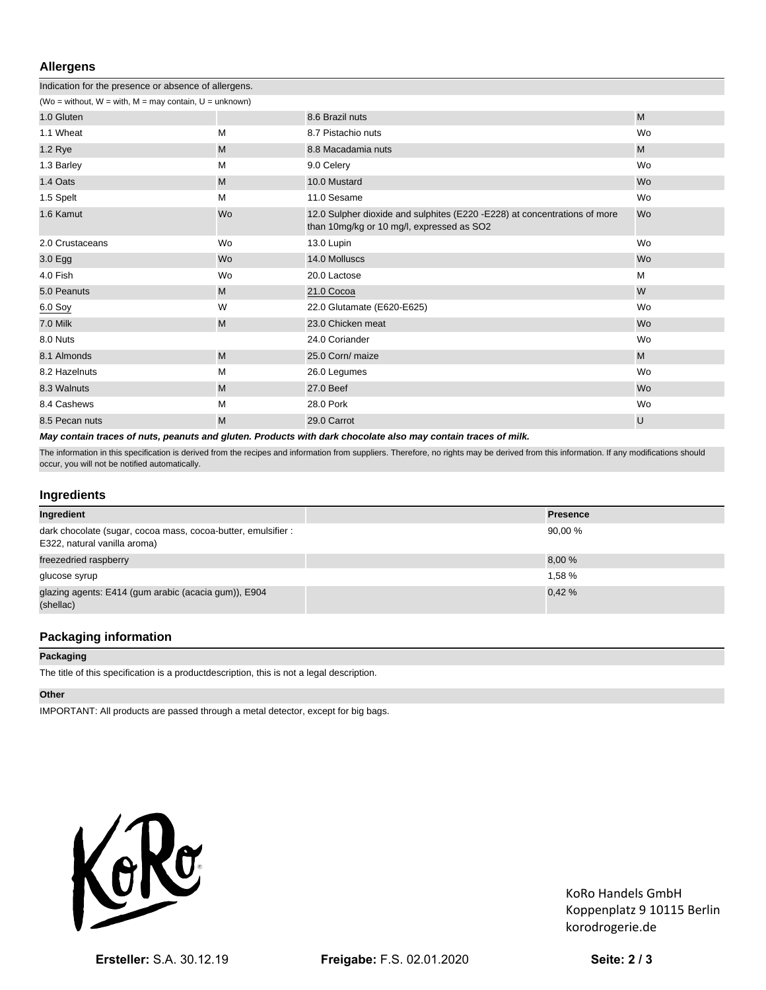# **Allergens**

| Indication for the presence or absence of allergens.            |    |                                                                                                                        |           |
|-----------------------------------------------------------------|----|------------------------------------------------------------------------------------------------------------------------|-----------|
| (Wo = without, $W = with$ , $M = may contain$ , $U = unknown$ ) |    |                                                                                                                        |           |
| 1.0 Gluten                                                      |    | 8.6 Brazil nuts                                                                                                        | M         |
| 1.1 Wheat                                                       | M  | 8.7 Pistachio nuts                                                                                                     | Wo        |
| 1.2 Rye                                                         | M  | 8.8 Macadamia nuts                                                                                                     | M         |
| 1.3 Barley                                                      | М  | 9.0 Celery                                                                                                             | Wo        |
| 1.4 Oats                                                        | M  | 10.0 Mustard                                                                                                           | <b>Wo</b> |
| 1.5 Spelt                                                       | M  | 11.0 Sesame                                                                                                            | Wo        |
| 1.6 Kamut                                                       | Wo | 12.0 Sulpher dioxide and sulphites (E220 -E228) at concentrations of more<br>than 10mg/kg or 10 mg/l, expressed as SO2 | <b>Wo</b> |
| 2.0 Crustaceans                                                 | Wo | 13.0 Lupin                                                                                                             | Wo        |
| 3.0 <sub>g</sub>                                                | Wo | 14.0 Molluscs                                                                                                          | <b>Wo</b> |
| 4.0 Fish                                                        | Wo | 20.0 Lactose                                                                                                           | M         |
| 5.0 Peanuts                                                     | M  | 21.0 Cocoa                                                                                                             | W         |
| 6.0 Soy                                                         | W  | 22.0 Glutamate (E620-E625)                                                                                             | Wo        |
| 7.0 Milk                                                        | M  | 23.0 Chicken meat                                                                                                      | <b>Wo</b> |
| 8.0 Nuts                                                        |    | 24.0 Coriander                                                                                                         | Wo        |
| 8.1 Almonds                                                     | M  | 25.0 Corn/ maize                                                                                                       | M         |
| 8.2 Hazelnuts                                                   | М  | 26.0 Legumes                                                                                                           | Wo        |
| 8.3 Walnuts                                                     | M  | 27.0 Beef                                                                                                              | <b>Wo</b> |
| 8.4 Cashews                                                     | M  | 28.0 Pork                                                                                                              | Wo        |
| 8.5 Pecan nuts                                                  | M  | 29.0 Carrot                                                                                                            | U         |
|                                                                 |    |                                                                                                                        |           |

**May contain traces of nuts, peanuts and gluten. Products with dark chocolate also may contain traces of milk.** 

The information in this specification is derived from the recipes and information from suppliers. Therefore, no rights may be derived from this information. If any modifications should occur, you will not be notified automatically.

# **Ingredients**

| Ingredient                                                                                    | <b>Presence</b> |
|-----------------------------------------------------------------------------------------------|-----------------|
| dark chocolate (sugar, cocoa mass, cocoa-butter, emulsifier :<br>E322, natural vanilla aroma) | 90.00%          |
| freezedried raspberry                                                                         | 8,00 %          |
| glucose syrup                                                                                 | 1.58 %          |
| glazing agents: E414 (gum arabic (acacia gum)), E904<br>(shellac)                             | 0.42%           |

# **Packaging information**

#### **Packaging**

The title of this specification is a productdescription, this is not a legal description.

## **Other**

IMPORTANT: All products are passed through a metal detector, except for big bags.



KoRo Handels GmbH Koppenplatz 9 10115 Berlin korodrogerie.de

**Ersteller:** S.A. 30.12.19 **Freigabe:** F.S. 02.01.2020 **Seite: 2 / 3**